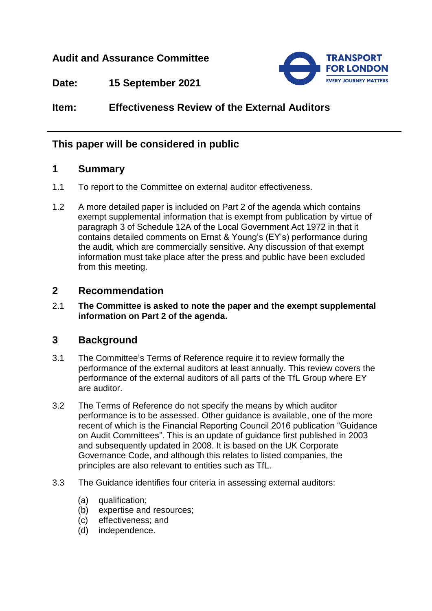## **Audit and Assurance Committee**



**Date: 15 September 2021**

**Item: Effectiveness Review of the External Auditors**

# **This paper will be considered in public**

## **1 Summary**

- 1.1 To report to the Committee on external auditor effectiveness.
- 1.2 A more detailed paper is included on Part 2 of the agenda which contains exempt supplemental information that is exempt from publication by virtue of paragraph 3 of Schedule 12A of the Local Government Act 1972 in that it contains detailed comments on Ernst & Young's (EY's) performance during the audit, which are commercially sensitive. Any discussion of that exempt information must take place after the press and public have been excluded from this meeting.

## **2 Recommendation**

2.1 **The Committee is asked to note the paper and the exempt supplemental information on Part 2 of the agenda.**

## **3 Background**

- 3.1 The Committee's Terms of Reference require it to review formally the performance of the external auditors at least annually. This review covers the performance of the external auditors of all parts of the TfL Group where EY are auditor.
- 3.2 The Terms of Reference do not specify the means by which auditor performance is to be assessed. Other guidance is available, one of the more recent of which is the Financial Reporting Council 2016 publication "Guidance on Audit Committees". This is an update of guidance first published in 2003 and subsequently updated in 2008. It is based on the UK Corporate Governance Code, and although this relates to listed companies, the principles are also relevant to entities such as TfL.
- 3.3 The Guidance identifies four criteria in assessing external auditors:
	- (a) qualification;
	- (b) expertise and resources;
	- (c) effectiveness; and
	- (d) independence.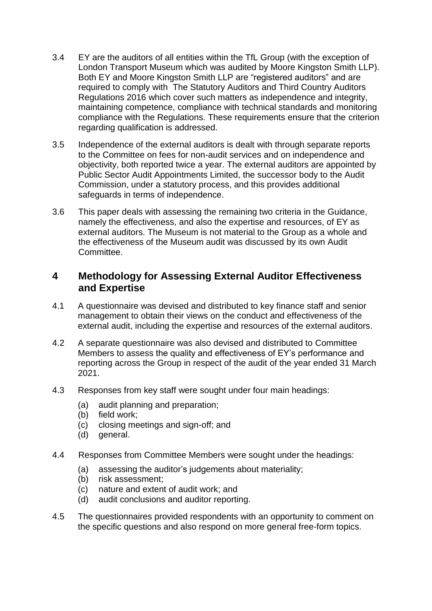- 3.4 EY are the auditors of all entities within the TfL Group (with the exception of London Transport Museum which was audited by Moore Kingston Smith LLP). Both EY and Moore Kingston Smith LLP are "registered auditors" and are required to comply with The Statutory Auditors and Third Country Auditors Regulations 2016 which cover such matters as independence and integrity, maintaining competence, compliance with technical standards and monitoring compliance with the Regulations. These requirements ensure that the criterion regarding qualification is addressed.
- 3.5 Independence of the external auditors is dealt with through separate reports to the Committee on fees for non-audit services and on independence and objectivity, both reported twice a year. The external auditors are appointed by Public Sector Audit Appointments Limited, the successor body to the Audit Commission, under a statutory process, and this provides additional safeguards in terms of independence.
- 3.6 This paper deals with assessing the remaining two criteria in the Guidance, namely the effectiveness, and also the expertise and resources, of EY as external auditors. The Museum is not material to the Group as a whole and the effectiveness of the Museum audit was discussed by its own Audit Committee.

### **4 Methodology for Assessing External Auditor Effectiveness and Expertise**

- 4.1 A questionnaire was devised and distributed to key finance staff and senior management to obtain their views on the conduct and effectiveness of the external audit, including the expertise and resources of the external auditors.
- 4.2 A separate questionnaire was also devised and distributed to Committee Members to assess the quality and effectiveness of EY's performance and reporting across the Group in respect of the audit of the year ended 31 March 2021.
- 4.3 Responses from key staff were sought under four main headings:
	- (a) audit planning and preparation;
	- (b) field work;
	- (c) closing meetings and sign-off; and
	- (d) general.
- 4.4 Responses from Committee Members were sought under the headings:
	- (a) assessing the auditor's judgements about materiality;
	- (b) risk assessment;
	- (c) nature and extent of audit work; and
	- (d) audit conclusions and auditor reporting.
- 4.5 The questionnaires provided respondents with an opportunity to comment on the specific questions and also respond on more general free-form topics.